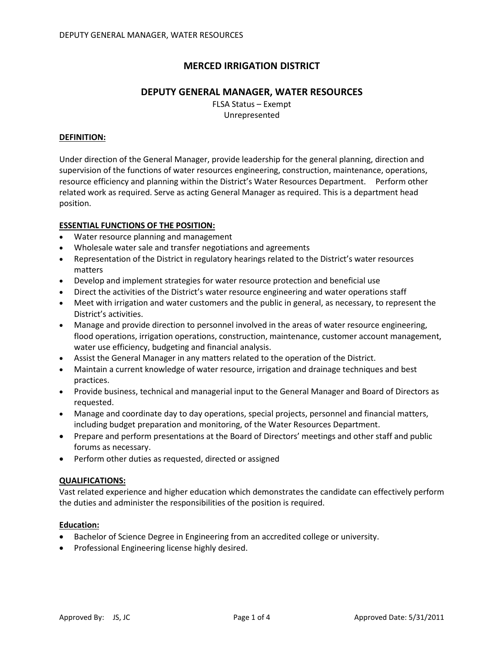# **MERCED IRRIGATION DISTRICT**

## **DEPUTY GENERAL MANAGER, WATER RESOURCES**

FLSA Status – Exempt Unrepresented

#### **DEFINITION:**

Under direction of the General Manager, provide leadership for the general planning, direction and supervision of the functions of water resources engineering, construction, maintenance, operations, resource efficiency and planning within the District's Water Resources Department. Perform other related work as required. Serve as acting General Manager as required. This is a department head position.

#### **ESSENTIAL FUNCTIONS OF THE POSITION:**

- Water resource planning and management
- Wholesale water sale and transfer negotiations and agreements
- Representation of the District in regulatory hearings related to the District's water resources matters
- Develop and implement strategies for water resource protection and beneficial use
- Direct the activities of the District's water resource engineering and water operations staff
- Meet with irrigation and water customers and the public in general, as necessary, to represent the District's activities.
- Manage and provide direction to personnel involved in the areas of water resource engineering, flood operations, irrigation operations, construction, maintenance, customer account management, water use efficiency, budgeting and financial analysis.
- Assist the General Manager in any matters related to the operation of the District.
- Maintain a current knowledge of water resource, irrigation and drainage techniques and best practices.
- Provide business, technical and managerial input to the General Manager and Board of Directors as requested.
- Manage and coordinate day to day operations, special projects, personnel and financial matters, including budget preparation and monitoring, of the Water Resources Department.
- Prepare and perform presentations at the Board of Directors' meetings and other staff and public forums as necessary.
- Perform other duties as requested, directed or assigned

#### **QUALIFICATIONS:**

Vast related experience and higher education which demonstrates the candidate can effectively perform the duties and administer the responsibilities of the position is required.

#### **Education:**

- Bachelor of Science Degree in Engineering from an accredited college or university.
- Professional Engineering license highly desired.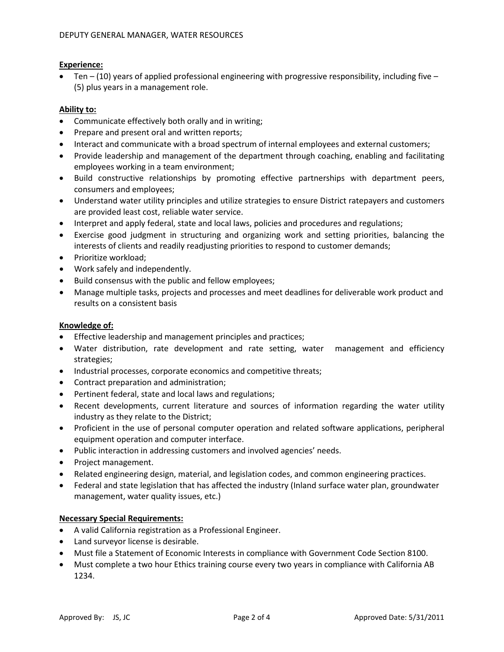#### **Experience:**

Ten  $-$  (10) years of applied professional engineering with progressive responsibility, including five  $-$ (5) plus years in a management role.

### **Ability to:**

- Communicate effectively both orally and in writing;
- Prepare and present oral and written reports;
- Interact and communicate with a broad spectrum of internal employees and external customers;
- Provide leadership and management of the department through coaching, enabling and facilitating employees working in a team environment;
- Build constructive relationships by promoting effective partnerships with department peers, consumers and employees;
- Understand water utility principles and utilize strategies to ensure District ratepayers and customers are provided least cost, reliable water service.
- Interpret and apply federal, state and local laws, policies and procedures and regulations;
- Exercise good judgment in structuring and organizing work and setting priorities, balancing the interests of clients and readily readjusting priorities to respond to customer demands;
- Prioritize workload;
- Work safely and independently.
- Build consensus with the public and fellow employees;
- Manage multiple tasks, projects and processes and meet deadlines for deliverable work product and results on a consistent basis

### **Knowledge of:**

- Effective leadership and management principles and practices;
- Water distribution, rate development and rate setting, water management and efficiency strategies;
- Industrial processes, corporate economics and competitive threats;
- Contract preparation and administration;
- Pertinent federal, state and local laws and regulations;
- Recent developments, current literature and sources of information regarding the water utility industry as they relate to the District;
- Proficient in the use of personal computer operation and related software applications, peripheral equipment operation and computer interface.
- Public interaction in addressing customers and involved agencies' needs.
- Project management.
- Related engineering design, material, and legislation codes, and common engineering practices.
- Federal and state legislation that has affected the industry (Inland surface water plan, groundwater management, water quality issues, etc.)

## **Necessary Special Requirements:**

- A valid California registration as a Professional Engineer.
- Land surveyor license is desirable.
- Must file a Statement of Economic Interests in compliance with Government Code Section 8100.
- Must complete a two hour Ethics training course every two years in compliance with California AB 1234.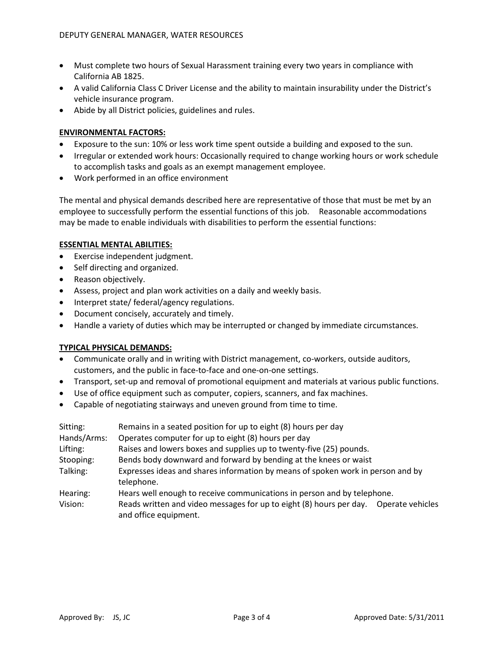- Must complete two hours of Sexual Harassment training every two years in compliance with California AB 1825.
- A valid California Class C Driver License and the ability to maintain insurability under the District's vehicle insurance program.
- Abide by all District policies, guidelines and rules.

## **ENVIRONMENTAL FACTORS:**

- Exposure to the sun: 10% or less work time spent outside a building and exposed to the sun.
- Irregular or extended work hours: Occasionally required to change working hours or work schedule to accomplish tasks and goals as an exempt management employee.
- Work performed in an office environment

The mental and physical demands described here are representative of those that must be met by an employee to successfully perform the essential functions of this job. Reasonable accommodations may be made to enable individuals with disabilities to perform the essential functions:

## **ESSENTIAL MENTAL ABILITIES:**

- Exercise independent judgment.
- Self directing and organized.
- Reason objectively.
- Assess, project and plan work activities on a daily and weekly basis.
- Interpret state/ federal/agency regulations.
- Document concisely, accurately and timely.
- Handle a variety of duties which may be interrupted or changed by immediate circumstances.

## **TYPICAL PHYSICAL DEMANDS:**

- Communicate orally and in writing with District management, co-workers, outside auditors, customers, and the public in face-to-face and one-on-one settings.
- Transport, set-up and removal of promotional equipment and materials at various public functions.
- Use of office equipment such as computer, copiers, scanners, and fax machines.
- Capable of negotiating stairways and uneven ground from time to time.

| Sitting:    | Remains in a seated position for up to eight (8) hours per day                                                 |
|-------------|----------------------------------------------------------------------------------------------------------------|
| Hands/Arms: | Operates computer for up to eight (8) hours per day                                                            |
| Lifting:    | Raises and lowers boxes and supplies up to twenty-five (25) pounds.                                            |
| Stooping:   | Bends body downward and forward by bending at the knees or waist                                               |
| Talking:    | Expresses ideas and shares information by means of spoken work in person and by<br>telephone.                  |
| Hearing:    | Hears well enough to receive communications in person and by telephone.                                        |
| Vision:     | Reads written and video messages for up to eight (8) hours per day.  Operate vehicles<br>and office equipment. |